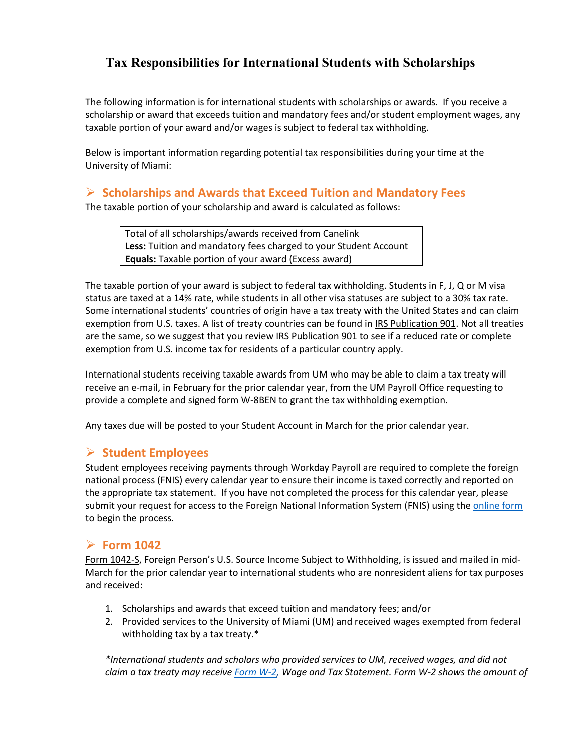# **Tax Responsibilities for International Students with Scholarships**

The following information is for international students with scholarships or awards. If you receive a scholarship or award that exceeds tuition and mandatory fees and/or student employment wages, any taxable portion of your award and/or wages is subject to federal tax withholding.

Below is important information regarding potential tax responsibilities during your time at the University of Miami:

#### **Scholarships and Awards that Exceed Tuition and Mandatory Fees**

The taxable portion of your scholarship and award is calculated as follows:

Total of all scholarships/awards received from Canelink **Less:** Tuition and mandatory fees charged to your Student Account **Equals:** Taxable portion of your award (Excess award)

The taxable portion of your award is subject to federal tax withholding. Students in F, J, Q or M visa status are taxed at a 14% rate, while students in all other visa statuses are subject to a 30% tax rate. Some international students' countries of origin have a tax treaty with the United States and can claim exemption from U.S. taxes. A list of treaty countries can be found in [IRS Publication 901.](https://nam10.safelinks.protection.outlook.com/?url=https%3A%2F%2Fwww.irs.gov%2Fpub%2Firs-pdf%2Fp901.pdf&data=04%7C01%7Ctdelaguardia%40miami.edu%7C991754126d474618f77108d9fc7245fa%7C2a144b72f23942d48c0e6f0f17c48e33%7C0%7C0%7C637818390005403753%7CUnknown%7CTWFpbGZsb3d8eyJWIjoiMC4wLjAwMDAiLCJQIjoiV2luMzIiLCJBTiI6Ik1haWwiLCJXVCI6Mn0%3D%7C3000&sdata=or%2B8ZYi%2BZtff7Eumj5NXq6NuOy3ByBRlVLN3VaKmdZQ%3D&reserved=0) Not all treaties are the same, so we suggest that you review IRS Publication 901 to see if a reduced rate or complete exemption from U.S. income tax for residents of a particular country apply.

International students receiving taxable awards from UM who may be able to claim a tax treaty will receive an e-mail, in February for the prior calendar year, from the UM Payroll Office requesting to provide a complete and signed form W-8BEN to grant the tax withholding exemption.

Any taxes due will be posted to your Student Account in March for the prior calendar year.

### **Student Employees**

Student employees receiving payments through Workday Payroll are required to complete the foreign national process (FNIS) every calendar year to ensure their income is taxed correctly and reported on the appropriate tax statement. If you have not completed the process for this calendar year, please submit your request for access to the Foreign National Information System (FNIS) using the [online form](https://umiami.qualtrics.com/jfe/form/SV_0HrlzLpFrEKSdBr) to begin the process.

#### **Form 1042**

[Form 1042-S,](https://nam10.safelinks.protection.outlook.com/?url=https%3A%2F%2Fwww.irs.gov%2Fforms-pubs%2Fabout-form-1042-s&data=04%7C01%7Ctdelaguardia%40miami.edu%7C991754126d474618f77108d9fc7245fa%7C2a144b72f23942d48c0e6f0f17c48e33%7C0%7C0%7C637818390005403753%7CUnknown%7CTWFpbGZsb3d8eyJWIjoiMC4wLjAwMDAiLCJQIjoiV2luMzIiLCJBTiI6Ik1haWwiLCJXVCI6Mn0%3D%7C3000&sdata=Qez%2FOXBFBn2qex9R2mhsdKT6n4HCntW2z18u71uYT%2FI%3D&reserved=0) Foreign Person's U.S. Source Income Subject to Withholding, is issued and mailed in mid-March for the prior calendar year to international students who are nonresident aliens for tax purposes and received:

- 1. Scholarships and awards that exceed tuition and mandatory fees; and/or
- 2. Provided services to the University of Miami (UM) and received wages exempted from federal withholding tax by a tax treaty.\*

*\*International students and scholars who provided services to UM, received wages, and did not claim a tax treaty may receive [Form W-2,](https://nam10.safelinks.protection.outlook.com/?url=https%3A%2F%2Fwww.irs.gov%2Fforms-pubs%2Fabout-form-w-2&data=04%7C01%7Ctdelaguardia%40miami.edu%7C991754126d474618f77108d9fc7245fa%7C2a144b72f23942d48c0e6f0f17c48e33%7C0%7C0%7C637818390005403753%7CUnknown%7CTWFpbGZsb3d8eyJWIjoiMC4wLjAwMDAiLCJQIjoiV2luMzIiLCJBTiI6Ik1haWwiLCJXVCI6Mn0%3D%7C3000&sdata=FD5z4E95I8QDnqmWpOJyphXuI4DvPso%2FOz4xWoY%2FxQY%3D&reserved=0) Wage and Tax Statement. Form W-2 shows the amount of*